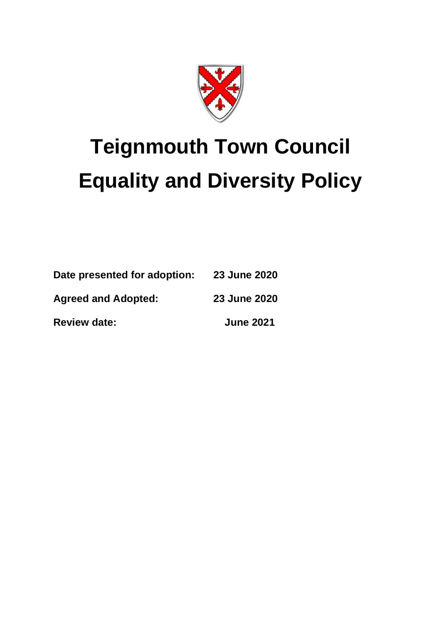

# **Teignmouth Town Council Equality and Diversity Policy**

| Date presented for adoption: | 23 June 2020     |
|------------------------------|------------------|
| <b>Agreed and Adopted:</b>   | 23 June 2020     |
| <b>Review date:</b>          | <b>June 2021</b> |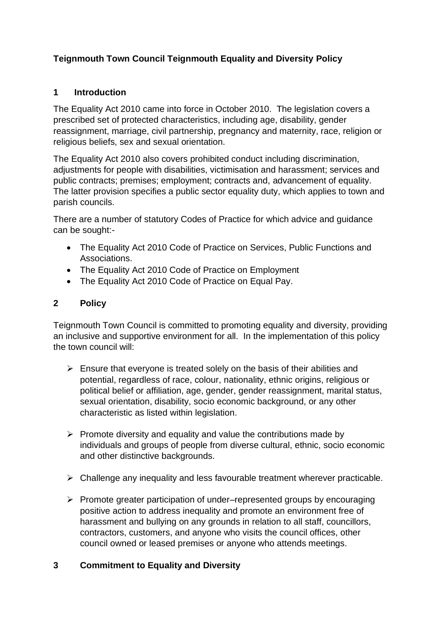# **Teignmouth Town Council Teignmouth Equality and Diversity Policy**

# **1 Introduction**

The Equality Act 2010 came into force in October 2010. The legislation covers a prescribed set of protected characteristics, including age, disability, gender reassignment, marriage, civil partnership, pregnancy and maternity, race, religion or religious beliefs, sex and sexual orientation.

The Equality Act 2010 also covers prohibited conduct including discrimination, adjustments for people with disabilities, victimisation and harassment; services and public contracts; premises; employment; contracts and, advancement of equality. The latter provision specifies a public sector equality duty, which applies to town and parish councils.

There are a number of statutory Codes of Practice for which advice and guidance can be sought:-

- The Equality Act 2010 Code of Practice on Services, Public Functions and Associations.
- The Equality Act 2010 Code of Practice on Employment
- The Equality Act 2010 Code of Practice on Equal Pay.

# **2 Policy**

Teignmouth Town Council is committed to promoting equality and diversity, providing an inclusive and supportive environment for all. In the implementation of this policy the town council will:

- $\triangleright$  Ensure that everyone is treated solely on the basis of their abilities and potential, regardless of race, colour, nationality, ethnic origins, religious or political belief or affiliation, age, gender, gender reassignment, marital status, sexual orientation, disability, socio economic background, or any other characteristic as listed within legislation.
- $\triangleright$  Promote diversity and equality and value the contributions made by individuals and groups of people from diverse cultural, ethnic, socio economic and other distinctive backgrounds.
- ➢ Challenge any inequality and less favourable treatment wherever practicable.
- ➢ Promote greater participation of under–represented groups by encouraging positive action to address inequality and promote an environment free of harassment and bullying on any grounds in relation to all staff, councillors, contractors, customers, and anyone who visits the council offices, other council owned or leased premises or anyone who attends meetings.

# **3 Commitment to Equality and Diversity**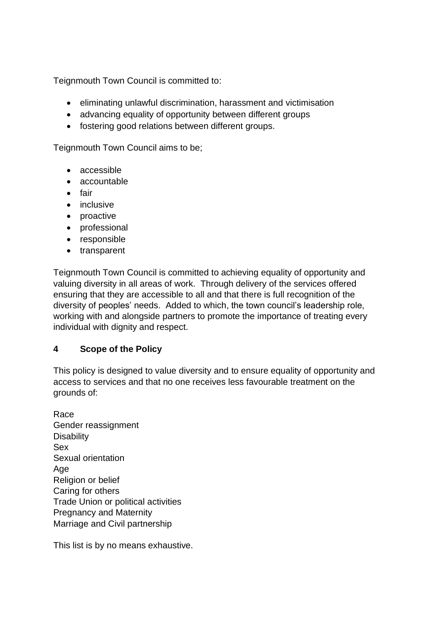Teignmouth Town Council is committed to:

- eliminating unlawful discrimination, harassment and victimisation
- advancing equality of opportunity between different groups
- fostering good relations between different groups.

Teignmouth Town Council aims to be;

- accessible
- accountable
- fair
- inclusive
- proactive
- professional
- responsible
- transparent

Teignmouth Town Council is committed to achieving equality of opportunity and valuing diversity in all areas of work. Through delivery of the services offered ensuring that they are accessible to all and that there is full recognition of the diversity of peoples' needs. Added to which, the town council's leadership role, working with and alongside partners to promote the importance of treating every individual with dignity and respect.

# **4 Scope of the Policy**

This policy is designed to value diversity and to ensure equality of opportunity and access to services and that no one receives less favourable treatment on the grounds of:

Race Gender reassignment **Disability** Sex Sexual orientation Age Religion or belief Caring for others Trade Union or political activities Pregnancy and Maternity Marriage and Civil partnership

This list is by no means exhaustive.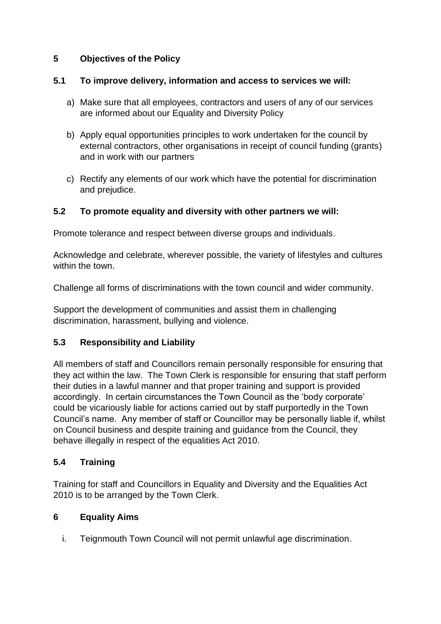# **5 Objectives of the Policy**

### **5.1 To improve delivery, information and access to services we will:**

- a) Make sure that all employees, contractors and users of any of our services are informed about our Equality and Diversity Policy
- b) Apply equal opportunities principles to work undertaken for the council by external contractors, other organisations in receipt of council funding (grants) and in work with our partners
- c) Rectify any elements of our work which have the potential for discrimination and prejudice.

# **5.2 To promote equality and diversity with other partners we will:**

Promote tolerance and respect between diverse groups and individuals.

Acknowledge and celebrate, wherever possible, the variety of lifestyles and cultures within the town.

Challenge all forms of discriminations with the town council and wider community.

Support the development of communities and assist them in challenging discrimination, harassment, bullying and violence.

# **5.3 Responsibility and Liability**

All members of staff and Councillors remain personally responsible for ensuring that they act within the law. The Town Clerk is responsible for ensuring that staff perform their duties in a lawful manner and that proper training and support is provided accordingly. In certain circumstances the Town Council as the 'body corporate' could be vicariously liable for actions carried out by staff purportedly in the Town Council's name. Any member of staff or Councillor may be personally liable if, whilst on Council business and despite training and guidance from the Council, they behave illegally in respect of the equalities Act 2010.

# **5.4 Training**

Training for staff and Councillors in Equality and Diversity and the Equalities Act 2010 is to be arranged by the Town Clerk.

#### **6 Equality Aims**

i. Teignmouth Town Council will not permit unlawful age discrimination.